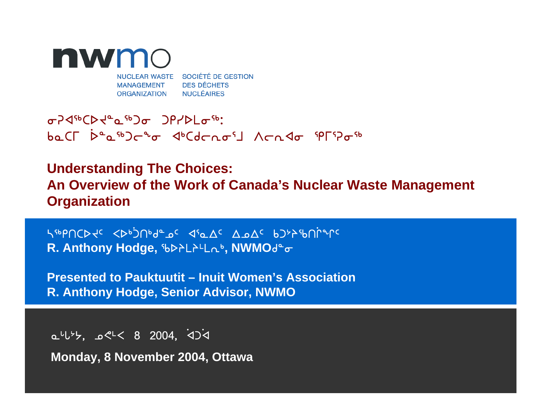

# iDx6bsJ8N6gi grysmi6:baCL bease at at decorate are all non do serves

# **Understanding The Choices: An Overview of the Work of Canada's Nuclear Waste Management Organization**

n6rtbsJ5 Xs4]gt4f8k5 x3Nw5 wkw5 vg0pct]Qq5**R. Anthony Hodge,**  $b$ **>>Lathong NWMOdeor** 

**Presented to Pauktuutit – Inuit Women's AssociationR. Anthony Hodge, Senior Advisor, NWMO**

 $0.4\sqrt{35}$ ,  $0.2\sqrt{25}$   $0.4$ ,  $0.4\sqrt{37}$ 

**Monday, 8 November 2004, Ottawa**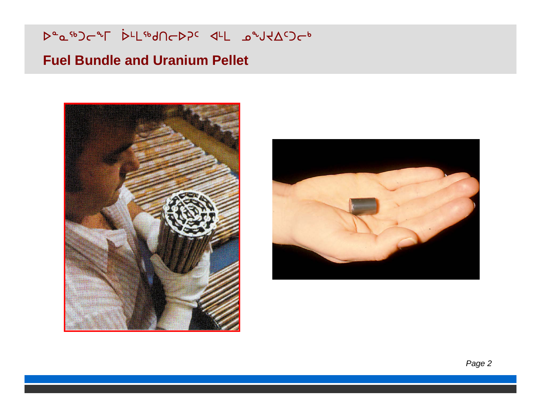⊳°⊾<sup>ো⊳</sup>া rr[مول|C<sub>P7</sub>C d-L موسطر

## **Fuel Bundle and Uranium Pellet**



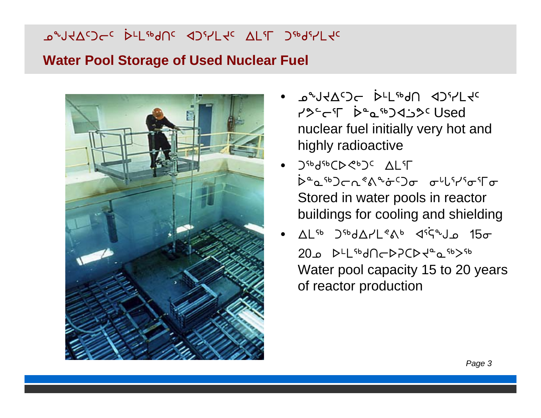لامپرا<del>ب</del>ر استفاق ا s7m6ft5 xg3ymJ5 wm3u g6f3ymJ5

### **Water Pool Storage of Used Nuclear Fuel**



- •e <sup>b</sup>rtway do<sup>s</sup>-left in the source of  $\mathcal{A}$ XPCAC®D43Dc Used"<br>PPCFC ቅግማያ nuclear fuel initially very hot and highly radioactive
- J&q&CD GpJc ALFF .<br>D°a<sup>sb</sup>)൳൨<sup>҂</sup>ልᢞᡠ᠑൳᠆൞<sup>ᡁҁ</sup>ᡰᡏᡒᡏ᠖ Stored in water pools in reactor buildings for cooling and shielding
- •. ALSO JSODAPLEAD DSi S<sup>م</sup> 15 مل  $20.0$  D<sup>LL sb</sup>d $\Omega$ CD $\tau$ PCD $\tau$ <sup>a</sup> $\Omega$ <sup>56</sup> Water pool capacity 15 to 20 years of reactor production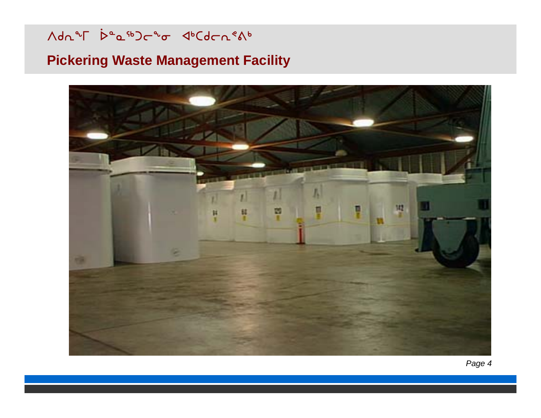Mdn 25 beauporto duCdon en

# **Pickering Waste Management Facility**

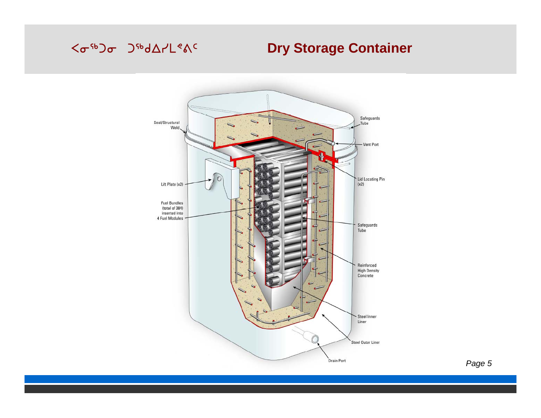### <o-6b) o Japan-Leve

# **Dry Storage Container**

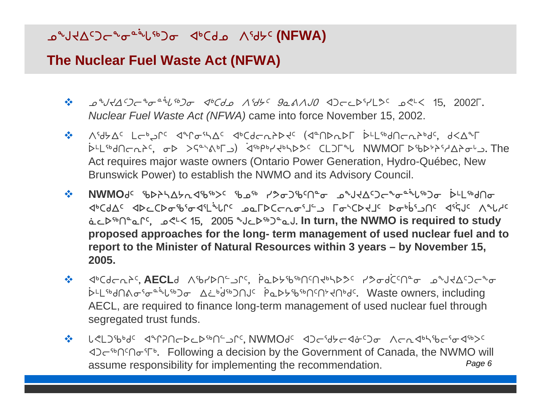#### ზატასალის და <sup>مُرβن</sup> a− d a−cd− ^{d<del>y</del> c **(NFWA)**

### **The Nuclear Fuel Waste Act (NFWA)**

- $\frac{1}{2}$  $\mathcal{L}$   $\mathcal{L}^{\alpha}$  $\mathcal{L}$  $\mathcal{L}^{\alpha}$  $\mathcal{L}^{\alpha}$ z46*%) al<sup>46</sup>do Ad<sup>6</sup>6 (NG)< (NGA) de AAJO de Cervel (NGC) alt (NGC). Nuclear Fuel Waste Act (NFWA)* came into force November 15, 2002.
- Wd/w5 mo4LQ5 xqi3nw5 x4bfoEpsJ5 Gx8tsEsu ]s7m6ftoEp4f5, fXw1u  $55L56$ Act requires major waste owners (Ontario Power Generation, Hydro-Québec, New Brunswick Power) to establish the NWMO and its Advisory Council.
- $\frac{1}{2}$ **NWMO**d<sup>c</sup> \$DAYAYnK\$\$>c \$9% YSoJ\$M°o \_a&JKAWGC\*odiU\$Jo DLL\$dno <u></u>სპაფრადნებანურნონ arc sorp(د-دمریات لهکرلهخار لاهه y> ⊃ار−µ CA5 Wzh5 `NMs6t8NQ5, k?7X !%, @))% aMs6g8NA. **In turn, the NWMO is required to study proposed approaches for the long- term management of used nuclear fuel and to report to the Minister of Natural Resources within 3 years – by November 15, 2005.**
- x4bfoEp5, **AECL**f Wcyst9lQ5, ]ra>ኑሌ™በናሀሩฟንእራ Y>&q ᢗ<sup>᠌ᡗᡅ</sup>ᠣ᠂᠊᠘ᢞ᠕ᢣ᠘᠑᠆ᡨᠣ Ϸ<sup>ͱ</sup>ͰჼႻႶልℴჼℴ<sub>ᢡ</sub> <sup>∿</sup>ს™⊃σ ∆¿<sup>ხ</sup> ባ<sub>ረየ</sub>ጋUገ<sub>C</sub> P௳▷≻ჼᲮჼჼ∩ჼႶჼ∀∩ჼᲫჼ. Waste owners, including AECL, are required to finance long-term management of used nuclear fuel through segregated trust funds.
- ☆ しぐL)&bd<sup>c</sup> <1~PACPcD&D^I^\_j^s,NWMOds <1)c\$dycd&S5o Acn<1b\&c\$o<1&>s ⊲⊃ $\epsilon$ ്∩ി $\epsilon$ ് Following a decision by the Government of Canada, the NWMO will assume responsibility for implementing the recommendation. *Page 6*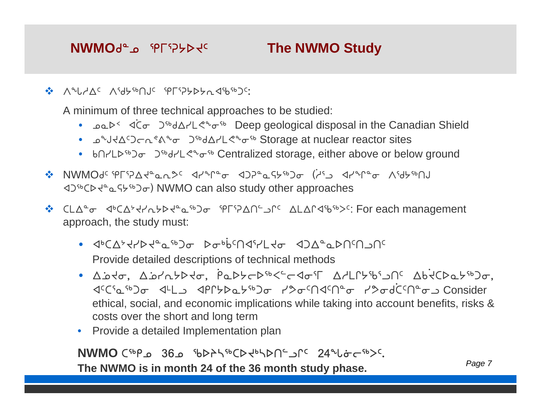#### **NWMO**de<sub>9</sub> sprichall **The NWMO Study**

❖ ∧°↓YQ⊂∧'d5'pUJ⊂'PF'?>>>π4'b'bJ';

A minimum of three technical approaches to be studied:

- $\log P < 1$  $\bullet$  $\zeta$ ອົງ®d∆ץL<ືອ® Deep geological disposal in the Canadian Shield
- ມ°ປ⊀∆<sup>ເ</sup>ጋ⊂∩°∆°o ⊃<sup>ናь</sup>ძ∆r'L<°மf Storage at nuclear reactor sites
- bnrLD<sup>66</sup> Jobor 2<sup>66</sup>drL<% of the Centralized storage, either above or below ground
- NWMOf5 eu3DwJ8NEK5 xyq8i xgD8NC/6gi G]h3l xyq8i Wd/6tA  $\langle 1 \rangle^{4b}$ CD $\langle 1 \rangle^{4a}$   $\Delta$  GH $\langle 1 \rangle^{4b}$  O<sub>o</sub> NWMO can also study other approaches
- <u>ቅ CLA</u>°σ < 4 CA ንተረጉራታል የሚገባል የሚገባል የተፈጠሩ የሚገባል የተፈጠሩ የተፈጠሩ የሚገባል የተፈጠሩ የተፈጠሩ የተፈጠሩ የ approach, the study must:
	- x4bw0JysJ8N6gi si4 ]v5tx3ymJi xgw8Nst5tlt5Provide detailed descriptions of technical methods
	- Abto, Abratto, Padtodsectos Arlfts, Madeletso, x5b3N6gi x7ml xrQ/sN/6gi yKi5tx5t8i yKif]b5t8il Consider ethical, social, and economic implications while taking into account benefits, risks & costs over the short and long term
	- Provide a detailed Implementation plan

# **NWMO** C<sup>tbp</sup> @ 36 & 363 & 365 @ 360 & 56756Jpc 24 & 24 & c<sup>5b</sup>>c.

**The NWMO is in month 24 of the 36 month study phase.** *Page 7*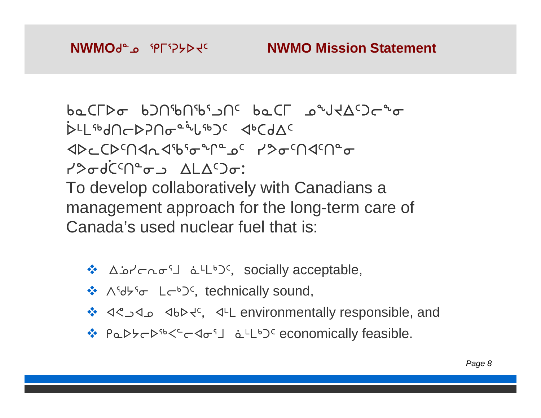# **NWMO Mission Statement**

 $ba$ C $\Delta \sim b2$ U $\sim b20$ ib $\sim b20$ ibi kajawa kajawa va kata vyena kajawa kada va kanala va kada va kanala va kada va kada va kada va kada va kada va kada va kada va kada va kada va kada va kada va kada va kada va kada va kada  $\mathcal{S}$ ጉጊቤት አገመሰጠው የተመረመጣው የተመረገው አ **XDCDENALSbotPaC YSoENSENto** Y�&dĊ<sup>c</sup>N°~ა ALA<sup>c</sup>Ͻ~: To develop collaboratively with Canadians a management approach for the long-term care of Canada's used nuclear fuel that is:

- $\triangle$  Δρήσησί ατιθος socially acceptable,
- ❖  $\Lambda^{5}$ d $\flat^{5}$  c L $\subset^{6}$ )<sup>c</sup>, technically sound,
- x?lxk xvsJ5, x7m environmentally responsible, and
- ❖ PaD>cD<sup>sb<c</sup>c<o<sup>s</sup>」 aLLbJc economically feasible.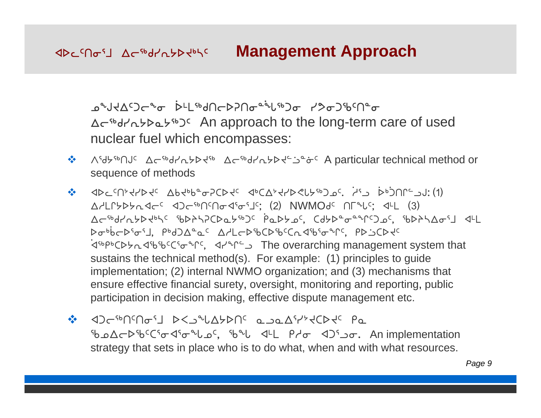# **Example 20 According Controls Approach**

᠊ᢁᠳ᠋᠍ᢦᠲ᠆ᠲ᠖ᢦ᠈ᡫᡅᡏ᠉᠕ᠿ᠑ᡔᡗ᠓ᢦ᠍ᢆᢁ᠊ᡙ᠉ᠫᡉ᠑ᡀ<sup>ᡘ</sup>ᡉ wo6fyE/sN/6g5 An approach to the long-term care of used nuclear fuel which encompasses:

- $\frac{1}{2}$ Midthilds Aciddrehod or Assigned Midthias A particular technical method or sequence of methods
- $\clubsuit$  adc $\epsilon$ U24kb4 $\epsilon$   $\Delta\beta$ 4pp $\epsilon$ ed $\Delta\gamma$ 4c apc $\nabla\gamma$ 4kb $\epsilon$ r $\gamma$ ar  $\epsilon$  iya pp. U1. (1) AALLYYYARGE ADGENSAGSTE: (2) NWMOGE NEELS; 4LL (3) Ac<sup>sb</sup>d/n5Pdb5c sbP77CDa5spc PaD5ac, Cd5DadaerCJac, sbD75AofJ d4L bobbcbioil, pbd)A<sup>0</sup>ac AHLcbibCDibcCndibioinc, PDSCDtc  $\bullet$ ⊲<sup>ം pь</sup>C⊳ط⊲ъъъссъ⊕°C°, ⊲ط°°C <sub>ב</sub> sustains the technical method(s). For example: (1) principles to guide implementation; (2) internal NWMO organization; and ( 3) mechanisms that ensure effective financial surety, oversight, monitoring and reporting, public participation in decision making, effective dispute management etc.
- xgo6t5ti3j sXlzw/st5 NlNw3y0JbsJ5 rN Go∆⊂Dib<sup>c</sup>Cio <15° ως, ib<sup>3</sup> del Pdo <13° ωσ. An implementation strategy that sets in place who is to do what, when and with what resources.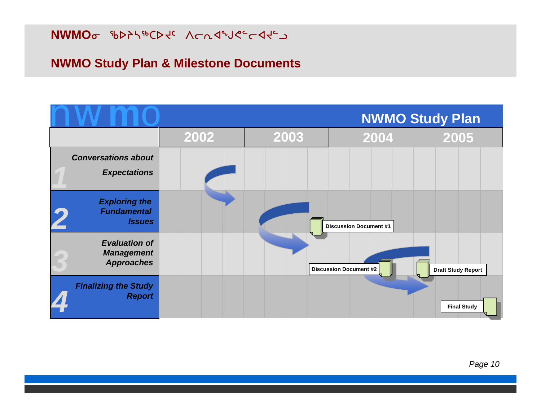**NWMO**o የኦኦነየርኦ<del>ረር ለራ</del>ሊፈልግራት

### **NWMO Study Plan & Milestone Documents**

|                                                                |      |      |                               | <b>NWMO Study Plan</b>    |
|----------------------------------------------------------------|------|------|-------------------------------|---------------------------|
|                                                                | 2002 | 2003 | 2004                          | 2005                      |
| <b>Conversations about</b><br><b>Expectations</b>              |      |      |                               |                           |
| <b>Exploring the</b><br><b>Fundamental</b><br><b>Issues</b>    |      |      | <b>Discussion Document #1</b> |                           |
| <b>Evaluation of</b><br><b>Management</b><br><b>Approaches</b> |      |      | <b>Discussion Document #2</b> | <b>Draft Study Report</b> |
| <b>Finalizing the Study</b><br><b>Report</b>                   |      |      |                               | <b>Final Study</b>        |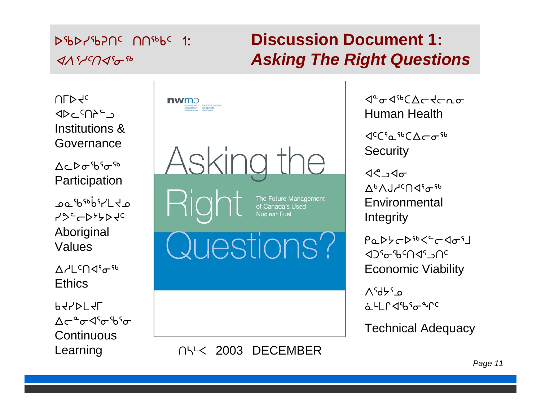# $D5bD75bD1c$   $D15bC$  1:  $\mathcal{A} \wedge$ <sup>5</sup> $\mathcal{A}$ 5 $\mathcal{A}$ 5 $\mathcal{A}$ 5 $\mathcal{A}$ 5 $\mathcal{A}$ 5 $\mathcal{A}$ 5 $\mathcal{A}$ 5 $\mathcal{A}$ 5 $\mathcal{A}$ 5 $\mathcal{A}$ 5 $\mathcal{A}$ 5 $\mathcal{A}$ 5 $\mathcal{A}$ 5 $\mathcal{A}$ 5 $\mathcal{A}$ 5 $\mathcal{A}$ 5 $\mathcal{A}$ 5 $\mathcal{A}$ 5 $\mathcal{A}$ 5 $\mathcal{A}$ 5 $\mathcal{A}$ 5 $\mathcal{A}$ 5 $\mathcal{A}$ 5

# **Discussion Document 1:***Asking The Right Questions*

 $ULP4c$  $\Delta P$   $\Delta P$   $\Delta P$ Institutions & Governance

 $\Lambda$ c  $\triangleright$  $\sigma$ <sup>5</sup> $h$ <sup>5</sup> $\sigma$ <sup>5</sup> **Participation** 

oa<sup>د</sup>'לא<sup>66</sup>טש y9<sup>c</sup>HD>>DVC Aboriginal Values

 $V = \cup_{\alpha\in\mathbb{Z}}$ Ethics

 $P4$  $\Lambda$ ← $^{\circ}$  $\sigma$  $\Lambda$ <sup>s</sup> $\sigma$ <sup>s</sup>h<sup>s</sup> $\sigma$ **Continuous** 



Learning 

n<sup>12</sup> 2003 DECEMBER

 $\mathcal{A}^{\alpha}$  $\sigma$  $\mathcal{A}^{\beta}$  $\sigma$  $\Lambda$  $\sigma$  $\mathcal{A}$ Human Health

 $\langle 1056, 566 \rangle$ **Security** 

 $\triangleleft$  $V_P V_T V_T U_T V_T$ Environmental Integrity

 $PaDbCb^{6}C^{2}Cd\sigma^{5}$  $\mathcal{A}$ 3 $\mathcal{A}$ s $\mathcal{A}$ s $\mathcal{A}$ s $\mathcal{A}$ s $\mathcal{A}$ s $\mathcal{A}$ s $\mathcal{A}$ s $\mathcal{A}$ s Economic Viability

 $V_{\text{A}}$ kaka U <u>aLLCdthio</u>nc

Technical Adequacy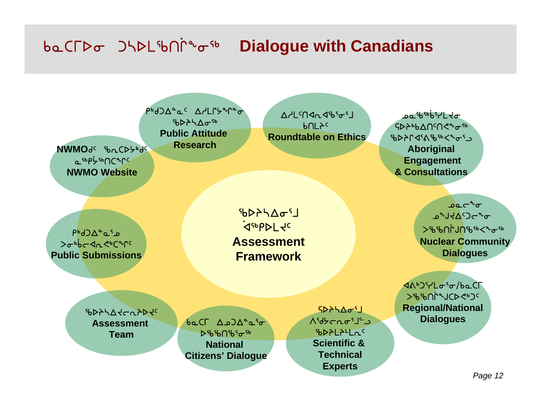#### baCFDo JHDL9bN ᡗ᠊᠋ᢥ᠋ᢅᢅᠣ<sup>ᡪ᠍ᡖ</sup> **Dialogue with Canadians**

PbdJA°aC AdLLbun°o  $b$ b $\Delta$ b $\Delta$ a $\sigma$ <sup>sb</sup> **Public AttitudeResearch**

**NWMO**ժ⊂ ჼᲮ൨CD<del>り</del>ჼᲫና <sub></sub>\_არსარსერურდ **NWMO Website**

AdL<04045651  $b$ ULAC **Roundtable on Ethics**

᠊ᢩᡂ<sup>᠋</sup>ᡃᡰᢐ<sup>᠖ᡃᡖ᠋</sup>ᡐ᠖᠌ᢇ SDAbbANSNe<sup>96</sup> ზDAC4S&ზ<sup>®</sup><�ơ'¬ **Aboriginal Engagement & Consultations**

n<sup>6</sup>d⊃∆<sup>e</sup> كە•ۈد≺ام<ەC **Public Submissions**

Sbahar S .<br>ፈሞኦኮ୮ሩc **AssessmentFramework**

 $\Omega^{\alpha}$ **Bandangon** >ჼենՈՐJՈՙեՙ<sup>ե</sup><ฺ°տ<sup>ւ</sup> **Nuclear Community Dialogues**

4AbJirLoio/baCF Scct]Qabs?4g5**Regional/National Dialogues**

**SPASS-CAPP JC Assessment Team**

baCL A.o)A<sup>a</sup>a<sup>s</sup>o **D***ზ*ხበზና<sub>σ</sub> **National Citizens' Dialogue**

 $L^2D^2AC^2$ c<sup>-1</sup>L-and<sup>o</sup> cspmp7mE5**Scientific & TechnicalExperts**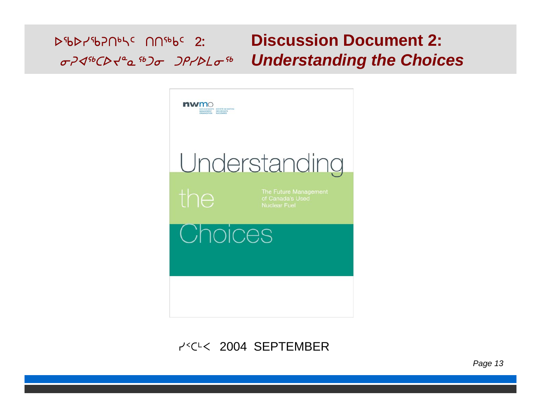#### **Discussion Document 2: D&DY&PNOLC UU&PC 5: Understanding the Choices**



#### P<sup><<<</sup> 2004 SEPTEMBER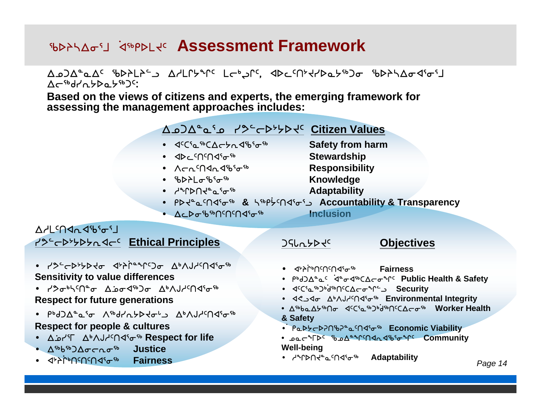# **WARASI REPALE Assessment Framework**

#### AASAC SPALAS CSPMP3 CCP3CC ADCCNXXPQX8DG SPASAGGS Ac<sup>sb</sup>drabbabsboc:

**Based on the views of citizens and experts, the emerging framework for assessing the management approaches includes:**

#### wkgw8N3k yK9os0/sJ5 **Citizen Values**

- dcCia.tbCAchndibio.tb
- ∢⊅⊂ເ∪ເ∪∢≀∿⊕
- ∙ ∧⊂๎∩≺∩√า<sup>6</sup>°
- ჼ**Ხ**ϷჁL<del>o</del>ჼხჼ<del>o</del>ჼჼ Աnowledge
- ነ<sub>ም</sub>ሆኦሀ<del>ላ<sub>ም</sub> ሚ</del>የሚ

**Safety from harm**

**Stewardship**

- **Responsibility**
- 
- **Adaptability**
- PD Je a M Jsb B Ksb Pl /5tx3i3l **Accountability & Transparency**
- Δ⊂Ϸσ<sup>-</sup>ხჼ<sup>ი</sup>ՐՈՙՈኆ<sup>ና</sup>σ՟ჼ<br>Inclusion

#### $APL<sub>5</sub>QQ<sub>6</sub>Q<sub>5</sub>q<sub>1</sub>$ <del>/</del>><del>C</del>>>>>>∧<C⊆ Ethical Principles

- yK9os0/sJi x0p]Q8q5gi w4WAh5tx3i6**Sensitivity to value differences**
- ץ�له *γ*γιγ<sup>ρ</sup>τ Δذه (<sub>19</sub>βο Δελλιλικα) **Respect for future generations**
- PʰdϽΔ°ჲˤσ Λˤʰdץʌללפי'ג ΔʰΛJץ<sup>c</sup>Ո∢ˤσˤʰ **Respect for people & cultures**
- ∆انγ°Γ ∆ه∧Jطد∩⊲<sup>ק</sup>ه Respect for life
- ∆<sup>sb</sup>b®)∆σ⊂nσ<sup>sb</sup> **Justice**
- ∢<mark>≯ንቦ</mark>ቅበናበናበ∢ነ<sub>ው</sub>ጭ **Fairness**

#### $JSL_6$

# **Objectives**

- ∢ታትቦ•በ<sup>c</sup>በናበ⊲ና<sub>σ</sub>ኈ **Fairness**
- ሥየጋ $\nabla_{\sigma}$ ሚያ  $\mathsf{A}^\mathtt{a}\mathsf{\sigma}$ ∢∿్ Public Health & Safety
- ∢<sup>c</sup>Cና⊾ጭጋხ, i<sup>უზ</sup>∩<sup>c</sup>C∆⊂თ<sup>ъ</sup>Ր°⇒ Security
- ⊲<್⊿∗∧Jطc∩⊲್ರ್<sup>њ</sup> Environmental Integrity
- w6vNw/6ti x5b3N6g4]f6t5bwoi6 **Worker Health & Safety**
- P௳**⊳**♭~⊳ʔ∩ზʔ°௳<sup>ఁ</sup>∩⊲ˤ<sub></sub>Ժ Economic Viability
- kNo1us5 ckw8q5txExc3iq5 **Community Well-being**
- <sup>႕</sup>∿Ր⊳∩<del>Վ</del>°௳<sup>ເ</sup>∩⊲ՙ<sub>乊</sub>'∾ Adaptability *Page 14*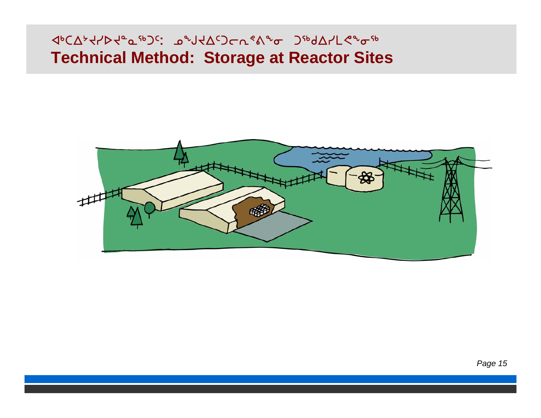# **Technical Method: Storage at Reactor Sites**

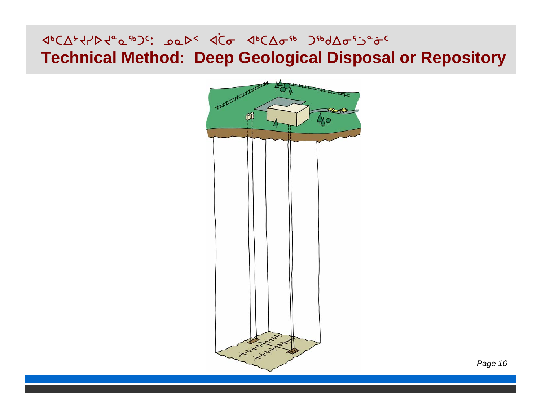#### **Deep Ceological Disposal of** Kamang Jabar Sabar Sabar Sabar Sabar Sabar Sabar Sabar Sabar Sabar Sabar Sabar Sabar Sabar Sabar Sabar Sabar S **Technical Method: Deep Geological Disposal or Repository**

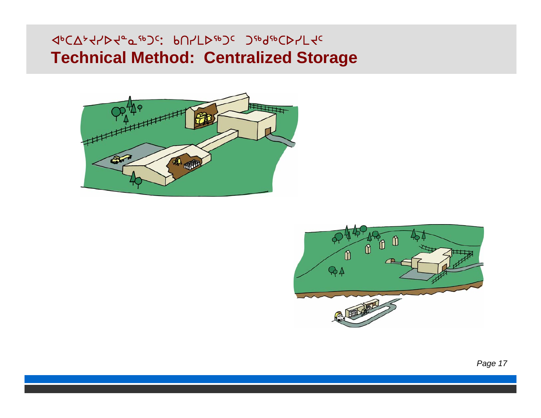#### **Controlized Storage** <φC∇<sub>ጉ</sub>ሩ\p~<sub>o</sub>σ<sub>ε</sub>ρ}ς: የU\ΓD<sub>ε</sub>ρ}ς }<sub>ε</sub>ρα<sub>ε</sub>ρςD\Γής **Technical Method: Centralized Storage**